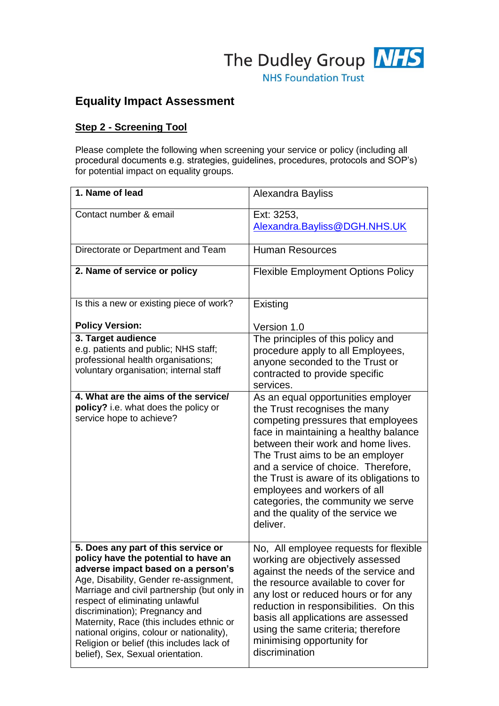

# **Equality Impact Assessment**

## **Step 2 - Screening Tool**

Please complete the following when screening your service or policy (including all procedural documents e.g. strategies, guidelines, procedures, protocols and SOP's) for potential impact on equality groups.

| 1. Name of lead                                                                                                                                                                                                                                                                                                                                                                                                                                            | Alexandra Bayliss                                                                                                                                                                                                                                                                                                                                                                                                                      |
|------------------------------------------------------------------------------------------------------------------------------------------------------------------------------------------------------------------------------------------------------------------------------------------------------------------------------------------------------------------------------------------------------------------------------------------------------------|----------------------------------------------------------------------------------------------------------------------------------------------------------------------------------------------------------------------------------------------------------------------------------------------------------------------------------------------------------------------------------------------------------------------------------------|
| Contact number & email                                                                                                                                                                                                                                                                                                                                                                                                                                     | Ext: 3253,<br>Alexandra.Bayliss@DGH.NHS.UK                                                                                                                                                                                                                                                                                                                                                                                             |
| Directorate or Department and Team                                                                                                                                                                                                                                                                                                                                                                                                                         | <b>Human Resources</b>                                                                                                                                                                                                                                                                                                                                                                                                                 |
| 2. Name of service or policy                                                                                                                                                                                                                                                                                                                                                                                                                               | <b>Flexible Employment Options Policy</b>                                                                                                                                                                                                                                                                                                                                                                                              |
| Is this a new or existing piece of work?                                                                                                                                                                                                                                                                                                                                                                                                                   | Existing                                                                                                                                                                                                                                                                                                                                                                                                                               |
| <b>Policy Version:</b>                                                                                                                                                                                                                                                                                                                                                                                                                                     | Version 1.0                                                                                                                                                                                                                                                                                                                                                                                                                            |
| 3. Target audience<br>e.g. patients and public; NHS staff;<br>professional health organisations;<br>voluntary organisation; internal staff                                                                                                                                                                                                                                                                                                                 | The principles of this policy and<br>procedure apply to all Employees,<br>anyone seconded to the Trust or<br>contracted to provide specific<br>services.                                                                                                                                                                                                                                                                               |
| 4. What are the aims of the service/<br>policy? i.e. what does the policy or<br>service hope to achieve?                                                                                                                                                                                                                                                                                                                                                   | As an equal opportunities employer<br>the Trust recognises the many<br>competing pressures that employees<br>face in maintaining a healthy balance<br>between their work and home lives.<br>The Trust aims to be an employer<br>and a service of choice. Therefore,<br>the Trust is aware of its obligations to<br>employees and workers of all<br>categories, the community we serve<br>and the quality of the service we<br>deliver. |
| 5. Does any part of this service or<br>policy have the potential to have an<br>adverse impact based on a person's<br>Age, Disability, Gender re-assignment,<br>Marriage and civil partnership (but only in<br>respect of eliminating unlawful<br>discrimination); Pregnancy and<br>Maternity, Race (this includes ethnic or<br>national origins, colour or nationality),<br>Religion or belief (this includes lack of<br>belief), Sex, Sexual orientation. | No, All employee requests for flexible<br>working are objectively assessed<br>against the needs of the service and<br>the resource available to cover for<br>any lost or reduced hours or for any<br>reduction in responsibilities. On this<br>basis all applications are assessed<br>using the same criteria; therefore<br>minimising opportunity for<br>discrimination                                                               |